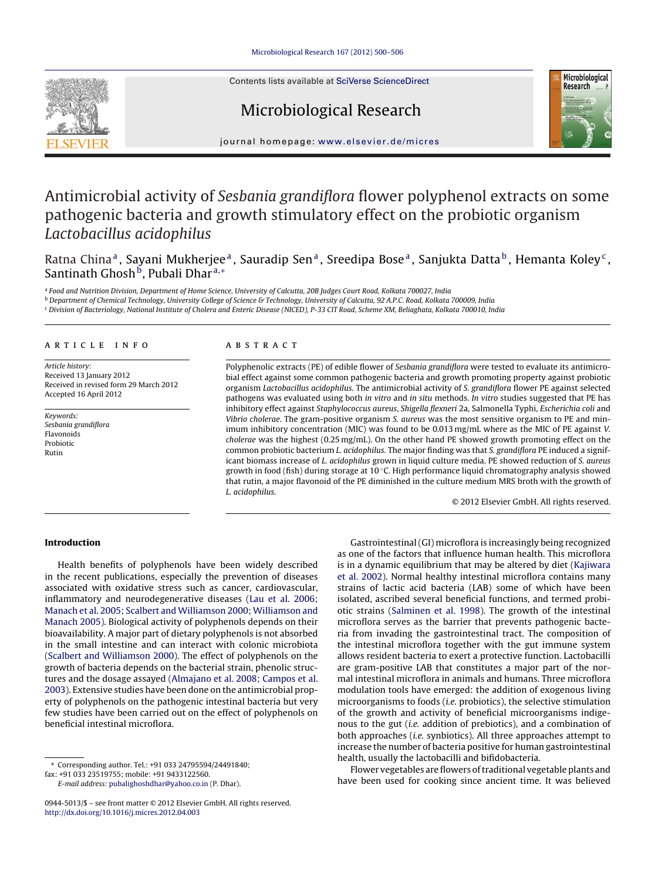Contents lists available at SciVerse [ScienceDirect](http://www.sciencedirect.com/science/journal/09445013)







journal homepage: [www.elsevier.de/micres](http://www.elsevier.de/micres)

# Antimicrobial activity of Sesbania grandiflora flower polyphenol extracts on some pathogenic bacteria and growth stimulatory effect on the probiotic organism Lactobacillus acidophilus

Ratna China<sup>a</sup>, Sayani Mukherjee<sup>a</sup>, Sauradip Sen<sup>a</sup>, Sreedipa Bose<sup>a</sup>, Sanjukta Datta<sup>b</sup>, Hemanta Koley<sup>c</sup>, Santinath Ghosh<sup>b</sup>, Pubali Dhar<sup>a,\*</sup>

a Food and Nutrition Division, Department of Home Science, University of Calcutta, 20B Judges Court Road, Kolkata 700027, India

<sup>b</sup> Department of Chemical Technology, University College of Science & Technology, University of Calcutta, 92 A.P.C. Road, Kolkata 700009, India

<sup>c</sup> Division of Bacteriology, National Institute of Cholera and Enteric Disease (NICED), P-33 CIT Road, Scheme XM, Beliaghata, Kolkata 700010, India

# a r t i c l e i n f o

Article history: Received 13 January 2012 Received in revised form 29 March 2012 Accepted 16 April 2012

Keywords: Sesbania grandiflora Flavonoids Probiotic Rutin

## A B S T R A C T

Polyphenolic extracts (PE) of edible flower of Sesbania grandiflora were tested to evaluate its antimicrobial effect against some common pathogenic bacteria and growth promoting property against probiotic organism Lactobacillus acidophilus. The antimicrobial activity of S. grandiflora flower PE against selected pathogens was evaluated using both in vitro and in situ methods. In vitro studies suggested that PE has inhibitory effect against Staphylococcus aureus, Shigella flexneri 2a, Salmonella Typhi, Escherichia coli and Vibrio cholerae. The gram-positive organism S. aureus was the most sensitive organism to PE and minimum inhibitory concentration (MIC) was found to be 0.013 mg/mL where as the MIC of PE against V. cholerae was the highest (0.25 mg/mL). On the other hand PE showed growth promoting effect on the common probiotic bacterium L. acidophilus. The major finding was that S. grandiflora PE induced a significant biomass increase of L. acidophilus grown in liquid culture media. PE showed reduction of S. aureus growth in food (fish) during storage at 10 ◦C. High performance liquid chromatography analysis showed that rutin, a major flavonoid of the PE diminished in the culture medium MRS broth with the growth of L. acidophilus.

© 2012 Elsevier GmbH. All rights reserved.

## **Introduction**

Health benefits of polyphenols have been widely described in the recent publications, especially the prevention of diseases associated with oxidative stress such as cancer, cardiovascular, inflammatory and neurodegenerative diseases [\(Lau](#page-5-0) et [al.](#page-5-0) [2006;](#page-5-0) [Manach](#page-5-0) et [al.](#page-5-0) [2005;](#page-5-0) [Scalbert](#page-5-0) [and](#page-5-0) [Williamson](#page-5-0) [2000;](#page-5-0) [Williamson](#page-5-0) [and](#page-5-0) [Manach](#page-5-0) [2005\).](#page-5-0) Biological activity of polyphenols depends on their bioavailability. A major part of dietary polyphenols is not absorbed in the small intestine and can interact with colonic microbiota ([Scalbert](#page-6-0) [and](#page-6-0) [Williamson](#page-6-0) [2000\).](#page-6-0) The effect of polyphenols on the growth of bacteria depends on the bacterial strain, phenolic structures and the dosage assayed ([Almajano](#page-5-0) et [al.](#page-5-0) [2008;](#page-5-0) [Campos](#page-5-0) et [al.](#page-5-0) [2003\).](#page-5-0) Extensive studies have been done on the antimicrobial property of polyphenols on the pathogenic intestinal bacteria but very few studies have been carried out on the effect of polyphenols on beneficial intestinal microflora.

∗ Corresponding author. Tel.: +91 033 24795594/24491840;

fax: +91 033 23519755; mobile: +91 9433122560.

E-mail address: [pubalighoshdhar@yahoo.co.in](mailto:pubalighoshdhar@yahoo.co.in) (P. Dhar).

Gastrointestinal(GI) microflora is increasingly being recognized as one of the factors that influence human health. This microflora is in a dynamic equilibrium that may be altered by diet ([Kajiwara](#page-5-0) et [al.](#page-5-0) [2002\).](#page-5-0) Normal healthy intestinal microflora contains many strains of lactic acid bacteria (LAB) some of which have been isolated, ascribed several beneficial functions, and termed probiotic strains [\(Salminen](#page-5-0) et [al.](#page-5-0) [1998\).](#page-5-0) The growth of the intestinal microflora serves as the barrier that prevents pathogenic bacteria from invading the gastrointestinal tract. The composition of the intestinal microflora together with the gut immune system allows resident bacteria to exert a protective function. Lactobacilli are gram-positive LAB that constitutes a major part of the normal intestinal microflora in animals and humans. Three microflora modulation tools have emerged: the addition of exogenous living microorganisms to foods (i.e. probiotics), the selective stimulation of the growth and activity of beneficial microorganisms indigenous to the gut (i.e. addition of prebiotics), and a combination of both approaches (i.e. synbiotics). All three approaches attempt to increase the number of bacteria positive for human gastrointestinal health, usually the lactobacilli and bifidobacteria.

Flower vegetables are flowers of traditional vegetable plants and have been used for cooking since ancient time. It was believed

<sup>0944-5013/\$</sup> – see front matter © 2012 Elsevier GmbH. All rights reserved. [http://dx.doi.org/10.1016/j.micres.2012.04.003](dx.doi.org/10.1016/j.micres.2012.04.003)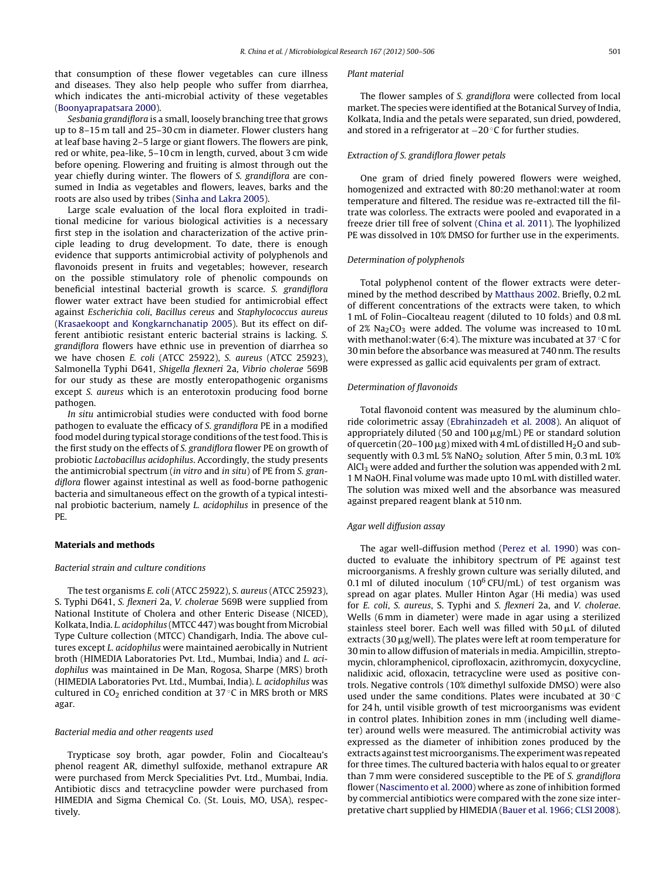that consumption of these flower vegetables can cure illness and diseases. They also help people who suffer from diarrhea, which indicates the anti-microbial activity of these vegetables ([Boonyaprapatsara](#page-5-0) [2000\).](#page-5-0)

Sesbania grandiflora is a small, loosely branching tree that grows up to 8–15 m tall and 25–30 cm in diameter. Flower clusters hang at leaf base having 2–5 large or giant flowers. The flowers are pink, red or white, pea-like, 5–10 cm in length, curved, about 3 cm wide before opening. Flowering and fruiting is almost through out the year chiefly during winter. The flowers of S. grandiflora are consumed in India as vegetables and flowers, leaves, barks and the roots are also used by tribes [\(Sinha](#page-6-0) [and](#page-6-0) [Lakra](#page-6-0) [2005\).](#page-6-0)

Large scale evaluation of the local flora exploited in traditional medicine for various biological activities is a necessary first step in the isolation and characterization of the active principle leading to drug development. To date, there is enough evidence that supports antimicrobial activity of polyphenols and flavonoids present in fruits and vegetables; however, research on the possible stimulatory role of phenolic compounds on beneficial intestinal bacterial growth is scarce. S. grandiflora flower water extract have been studied for antimicrobial effect against Escherichia coli, Bacillus cereus and Staphylococcus aureus ([Krasaekoopt](#page-5-0) [and](#page-5-0) [Kongkarnchanatip](#page-5-0) [2005\).](#page-5-0) But its effect on different antibiotic resistant enteric bacterial strains is lacking. S. grandiflora flowers have ethnic use in prevention of diarrhea so we have chosen E. coli (ATCC 25922), S. aureus (ATCC 25923), Salmonella Typhi D641, Shigella flexneri 2a, Vibrio cholerae 569B for our study as these are mostly enteropathogenic organisms except S. aureus which is an enterotoxin producing food borne pathogen.

In situ antimicrobial studies were conducted with food borne pathogen to evaluate the efficacy of S. grandiflora PE in a modified food model during typical storage conditions of the test food. This is the first study on the effects of S. grandiflora flower PE on growth of probiotic Lactobacillus acidophilus. Accordingly, the study presents the antimicrobial spectrum (in vitro and in situ) of PE from S. grandiflora flower against intestinal as well as food-borne pathogenic bacteria and simultaneous effect on the growth of a typical intestinal probiotic bacterium, namely L. acidophilus in presence of the PE.

## **Materials and methods**

#### Bacterial strain and culture conditions

The test organisms E. coli (ATCC 25922), S. aureus (ATCC 25923), S. Typhi D641, S. flexneri 2a, V. cholerae 569B were supplied from National Institute of Cholera and other Enteric Disease (NICED), Kolkata, India. L. acidophilus (MTCC 447) was bought from Microbial Type Culture collection (MTCC) Chandigarh, India. The above cultures except L. acidophilus were maintained aerobically in Nutrient broth (HIMEDIA Laboratories Pvt. Ltd., Mumbai, India) and L. acidophilus was maintained in De Man, Rogosa, Sharpe (MRS) broth (HIMEDIA Laboratories Pvt. Ltd., Mumbai, India). L. acidophilus was cultured in  $CO<sub>2</sub>$  enriched condition at 37 °C in MRS broth or MRS agar.

## Bacterial media and other reagents used

Trypticase soy broth, agar powder, Folin and Ciocalteau's phenol reagent AR, dimethyl sulfoxide, methanol extrapure AR were purchased from Merck Specialities Pvt. Ltd., Mumbai, India. Antibiotic discs and tetracycline powder were purchased from HIMEDIA and Sigma Chemical Co. (St. Louis, MO, USA), respectively.

#### Plant material

The flower samples of S. grandiflora were collected from local market. The species were identified at the Botanical Survey of India, Kolkata, India and the petals were separated, sun dried, powdered, and stored in a refrigerator at −20 ◦C for further studies.

## Extraction of S. grandiflora flower petals

One gram of dried finely powered flowers were weighed, homogenized and extracted with 80:20 methanol:water at room temperature and filtered. The residue was re-extracted till the filtrate was colorless. The extracts were pooled and evaporated in a freeze drier till free of solvent ([China](#page-5-0) et [al.](#page-5-0) [2011\).](#page-5-0) The lyophilized PE was dissolved in 10% DMSO for further use in the experiments.

## Determination of polyphenols

Total polyphenol content of the flower extracts were determined by the method described by [Matthaus](#page-5-0) [2002.](#page-5-0) Briefly, 0.2 mL of different concentrations of the extracts were taken, to which 1 mL of Folin–Ciocalteau reagent (diluted to 10 folds) and 0.8 mL of  $2\%$  Na<sub>2</sub>CO<sub>3</sub> were added. The volume was increased to 10 mL with methanol: water (6:4). The mixture was incubated at 37 $\degree$ C for 30 min before the absorbance was measured at 740 nm. The results were expressed as gallic acid equivalents per gram of extract.

### Determination of flavonoids

Total flavonoid content was measured by the aluminum chloride colorimetric assay [\(Ebrahinzadeh](#page-5-0) et [al.](#page-5-0) [2008\).](#page-5-0) An aliquot of appropriately diluted (50 and 100  $\mu$ g/mL) PE or standard solution of quercetin (20-100  $\mu$ g) mixed with 4 mL of distilled H<sub>2</sub>O and subsequently with 0.3 mL  $5\%$  NaNO<sub>2</sub> solution. After 5 min, 0.3 mL 10% AlCl<sub>3</sub> were added and further the solution was appended with 2 mL 1 M NaOH. Final volume was made upto 10 mL with distilled water. The solution was mixed well and the absorbance was measured against prepared reagent blank at 510 nm.

## Agar well diffusion assay

The agar well-diffusion method [\(Perez](#page-5-0) et [al.](#page-5-0) [1990\)](#page-5-0) was conducted to evaluate the inhibitory spectrum of PE against test microorganisms. A freshly grown culture was serially diluted, and 0.1 ml of diluted inoculum ( $10^6$  CFU/mL) of test organism was spread on agar plates. Muller Hinton Agar (Hi media) was used for E. coli, S. aureus, S. Typhi and S. flexneri 2a, and V. cholerae. Wells (6 mm in diameter) were made in agar using a sterilized stainless steel borer. Each well was filled with  $50 \mu L$  of diluted extracts (30  $\mu$ g/well). The plates were left at room temperature for 30 min to allow diffusion of materials in media. Ampicillin, streptomycin, chloramphenicol, ciprofloxacin, azithromycin, doxycycline, nalidixic acid, ofloxacin, tetracycline were used as positive controls. Negative controls (10% dimethyl sulfoxide DMSO) were also used under the same conditions. Plates were incubated at 30 °C for 24 h, until visible growth of test microorganisms was evident in control plates. Inhibition zones in mm (including well diameter) around wells were measured. The antimicrobial activity was expressed as the diameter of inhibition zones produced by the extracts against test microorganisms. The experiment was repeated for three times. The cultured bacteria with halos equal to or greater than 7 mm were considered susceptible to the PE of S. grandiflora flower ([Nascimento](#page-5-0) et [al.](#page-5-0) [2000\)](#page-5-0) where as zone of inhibition formed by commercial antibiotics were compared with the zone size interpretative chart supplied by HIMEDIA [\(Bauer](#page-5-0) et [al.](#page-5-0) [1966;](#page-5-0) [CLSI](#page-5-0) [2008\).](#page-5-0)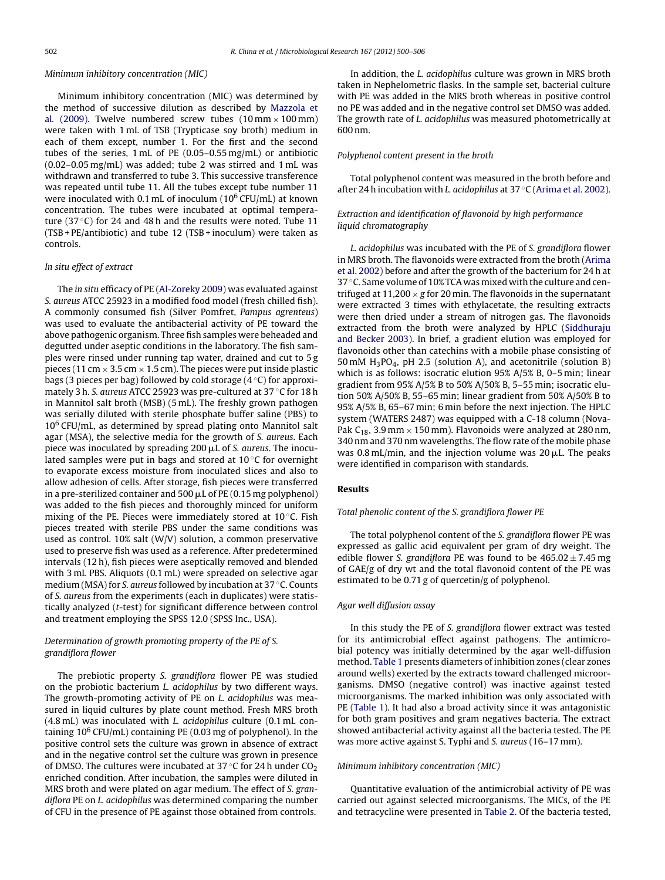## Minimum inhibitory concentration (MIC)

Minimum inhibitory concentration (MIC) was determined by the method of successive dilution as described by [Mazzola](#page-5-0) [et](#page-5-0) [al](#page-5-0). [\(2009\).](#page-5-0) Twelve numbered screw tubes  $(10 \text{ mm} \times 100 \text{ mm})$ were taken with 1 mL of TSB (Trypticase soy broth) medium in each of them except, number 1. For the first and the second tubes of the series, 1 mL of PE (0.05–0.55 mg/mL) or antibiotic (0.02–0.05 mg/mL) was added; tube 2 was stirred and 1 mL was withdrawn and transferred to tube 3. This successive transference was repeated until tube 11. All the tubes except tube number 11 were inoculated with 0.1 mL of inoculum ( $10^6$  CFU/mL) at known concentration. The tubes were incubated at optimal temperature (37 $\degree$ C) for 24 and 48 h and the results were noted. Tube 11 (TSB + PE/antibiotic) and tube 12 (TSB + inoculum) were taken as controls.

## In situ effect of extract

The in situ efficacy of PE [\(Al-Zoreky](#page-5-0) [2009\)](#page-5-0) was evaluated against S. aureus ATCC 25923 in a modified food model (fresh chilled fish). A commonly consumed fish (Silver Pomfret, Pampus agrenteus) was used to evaluate the antibacterial activity of PE toward the above pathogenic organism. Three fish samples were beheaded and degutted under aseptic conditions in the laboratory. The fish samples were rinsed under running tap water, drained and cut to 5 g pieces (11 cm  $\times$  3.5 cm  $\times$  1.5 cm). The pieces were put inside plastic bags (3 pieces per bag) followed by cold storage (4 ◦C) for approximately 3 h. S. aureus ATCC 25923 was pre-cultured at 37 ◦C for 18 h in Mannitol salt broth (MSB) (5 mL). The freshly grown pathogen was serially diluted with sterile phosphate buffer saline (PBS) to 10<sup>6</sup> CFU/mL, as determined by spread plating onto Mannitol salt agar (MSA), the selective media for the growth of S. aureus. Each piece was inoculated by spreading 200  $\rm \mu L$  of S. aureus. The inoculated samples were put in bags and stored at  $10^{\circ}$ C for overnight to evaporate excess moisture from inoculated slices and also to allow adhesion of cells. After storage, fish pieces were transferred in a pre-sterilized container and 500  $\mu$ L of PE (0.15 mg polyphenol) was added to the fish pieces and thoroughly minced for uniform mixing of the PE. Pieces were immediately stored at 10 ℃. Fish pieces treated with sterile PBS under the same conditions was used as control. 10% salt (W/V) solution, a common preservative used to preserve fish was used as a reference. After predetermined intervals (12 h), fish pieces were aseptically removed and blended with 3 mL PBS. Aliquots (0.1 mL) were spreaded on selective agar medium (MSA) for S. aureus followed by incubation at 37 ◦C. Counts of S. aureus from the experiments (each in duplicates) were statistically analyzed (t-test) for significant difference between control and treatment employing the SPSS 12.0 (SPSS Inc., USA).

# Determination of growth promoting property of the PE of S. grandiflora flower

The prebiotic property S. grandiflora flower PE was studied on the probiotic bacterium L. acidophilus by two different ways. The growth-promoting activity of PE on L. acidophilus was measured in liquid cultures by plate count method. Fresh MRS broth (4.8 mL) was inoculated with L. acidophilus culture (0.1 mL containing  $10^6$  CFU/mL) containing PE (0.03 mg of polyphenol). In the positive control sets the culture was grown in absence of extract and in the negative control set the culture was grown in presence of DMSO. The cultures were incubated at 37 °C for 24 h under  $CO<sub>2</sub>$ enriched condition. After incubation, the samples were diluted in MRS broth and were plated on agar medium. The effect of S. grandiflora PE on L. acidophilus was determined comparing the number of CFU in the presence of PE against those obtained from controls.

In addition, the L. acidophilus culture was grown in MRS broth taken in Nephelometric flasks. In the sample set, bacterial culture with PE was added in the MRS broth whereas in positive control no PE was added and in the negative control set DMSO was added. The growth rate of L. acidophilus was measured photometrically at 600 nm.

## Polyphenol content present in the broth

Total polyphenol content was measured in the broth before and after 24 h incubation with *L. acidophilus* at  $37 °C$  [\(Arima](#page-5-0) et [al.](#page-5-0) [2002\).](#page-5-0)

# Extraction and identification of flavonoid by high performance liquid chromatography

L. acidophilus was incubated with the PE of S. grandiflora flower in MRS broth. The flavonoids were extracted from the broth [\(Arima](#page-5-0) et [al.](#page-5-0) [2002\)](#page-5-0) before and after the growth of the bacterium for 24 h at 37 ◦C. Same volume of 10% TCA was mixed with the culture and centrifuged at  $11,200 \times g$  for 20 min. The flavonoids in the supernatant were extracted 3 times with ethylacetate, the resulting extracts were then dried under a stream of nitrogen gas. The flavonoids extracted from the broth were analyzed by HPLC ([Siddhuraju](#page-6-0) [and](#page-6-0) [Becker](#page-6-0) [2003\).](#page-6-0) In brief, a gradient elution was employed for flavonoids other than catechins with a mobile phase consisting of 50 mM  $H_3PO_4$ , pH 2.5 (solution A), and acetonitrile (solution B) which is as follows: isocratic elution 95% A/5% B, 0–5 min; linear gradient from 95% A/5% B to 50% A/50% B, 5–55 min; isocratic elution 50% A/50% B, 55–65 min; linear gradient from 50% A/50% B to 95% A/5% B, 65–67 min; 6 min before the next injection. The HPLC system (WATERS 2487) was equipped with a C-18 column (Nova-Pak C<sub>18</sub>, 3.9 mm  $\times$  150 mm). Flavonoids were analyzed at 280 nm, 340 nm and 370 nm wavelengths. The flow rate of the mobile phase was 0.8 mL/min, and the injection volume was 20  $\mu$ L. The peaks were identified in comparison with standards.

## **Results**

## Total phenolic content of the S. grandiflora flower PE

The total polyphenol content of the S. grandiflora flower PE was expressed as gallic acid equivalent per gram of dry weight. The edible flower S. grandiflora PE was found to be  $465.02 \pm 7.45$  mg of GAE/g of dry wt and the total flavonoid content of the PE was estimated to be 0.71 g of quercetin/g of polyphenol.

## Agar well diffusion assay

In this study the PE of S. grandiflora flower extract was tested for its antimicrobial effect against pathogens. The antimicrobial potency was initially determined by the agar well-diffusion method. [Table](#page-3-0) 1 presents diameters of inhibition zones (clear zones around wells) exerted by the extracts toward challenged microorganisms. DMSO (negative control) was inactive against tested microorganisms. The marked inhibition was only associated with PE [\(Table](#page-3-0) 1). It had also a broad activity since it was antagonistic for both gram positives and gram negatives bacteria. The extract showed antibacterial activity against all the bacteria tested. The PE was more active against S. Typhi and S. aureus (16–17 mm).

## Minimum inhibitory concentration (MIC)

Quantitative evaluation of the antimicrobial activity of PE was carried out against selected microorganisms. The MICs, of the PE and tetracycline were presented in [Table](#page-3-0) 2. Of the bacteria tested,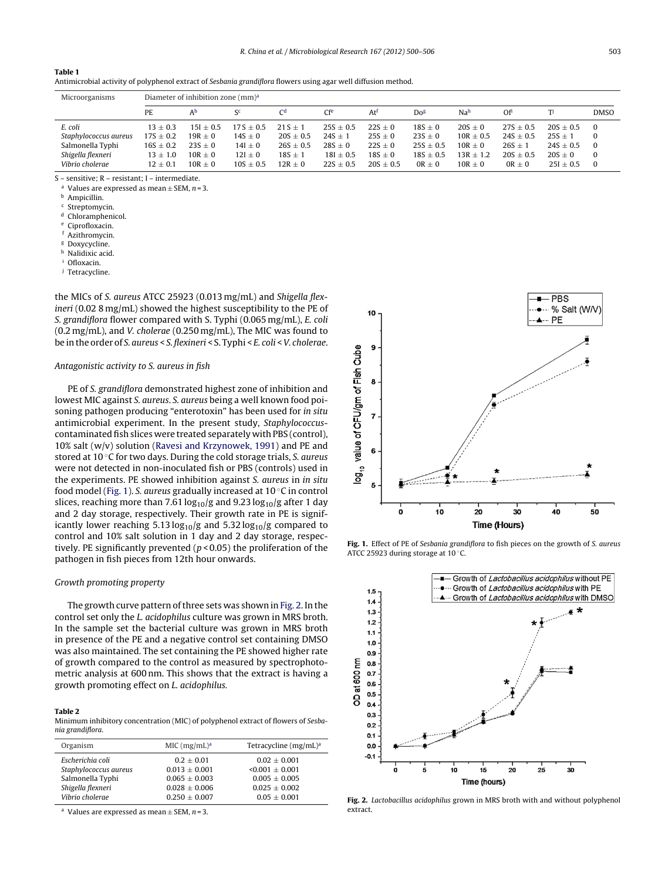<span id="page-3-0"></span>

|--|--|

Antimicrobial activity of polyphenol extract of Sesbania grandiflora flowers using agar well diffusion method.

| Microorganisms        | Diameter of inhibition zone (mm) <sup>a</sup> |             |             |               |               |                 |               |                 |               |             |             |
|-----------------------|-----------------------------------------------|-------------|-------------|---------------|---------------|-----------------|---------------|-----------------|---------------|-------------|-------------|
|                       | PE                                            | Аb          | $S^c$       | Cq            | Cfe           | At <sup>t</sup> | Dog           | Na <sup>h</sup> | Of            | T           | <b>DMSO</b> |
| E. coli               | $13 + 0.3$                                    | $15I + 0.5$ | $17S + 0.5$ | $21S + 1$     | $25S + 0.5$   | $22S + 0$       | $18S + 0$     | $20S \pm 0$     | $27S + 0.5$   | $20S + 0.5$ | $\Omega$    |
| Staphylococcus aureus | $17S \pm 0.2$                                 | $19R \pm 0$ | $14S \pm 0$ | $20S \pm 0.5$ | $24S \pm 1$   | $25S \pm 0$     | $23S \pm 0$   | $10R \pm 0.5$   | $24S \pm 0.5$ | $25S \pm 1$ | 0           |
| Salmonella Typhi      | $16S \pm 0.2$                                 | $23S + 0$   | $14I \pm 0$ | $26S \pm 0.5$ | $28S \pm 0$   | $22S \pm 0$     | $25S \pm 0.5$ | $10R + 0$       | $26S \pm 1$   | $24S + 0.5$ | $\Omega$    |
| Shigella flexneri     | $13 \pm 1.0$                                  | $10R + 0$   | $12I \pm 0$ | $18S \pm 1$   | $18I \pm 0.5$ | $18S \pm 0$     | $18S + 0.5$   | $13R + 1.2$     | $20S + 0.5$   | $20S + 0$   | $\Omega$    |
| Vibrio cholerae       | $12 + 0.1$                                    | $10R + 0$   | $10S + 0.5$ | $12R + 0$     | $22S + 0.5$   | $20S + 0.5$     | $OR + 0$      | $10R + 0$       | $OR + 0$      | $25I + 0.5$ | $\Omega$    |

S – sensitive; R – resistant; I – intermediate.

<sup>a</sup> Values are expressed as mean  $\pm$  SEM, *n* = 3.<br><sup>b</sup> Ampicillin.

Chloramphenicol.

Ciprofloxacin.

<sup>f</sup> Azithromycin.

<sup>g</sup> Doxycycline.

h Nalidixic acid.

Ofloxacin.

<sup>j</sup> Tetracycline.

the MICs of S. aureus ATCC 25923 (0.013 mg/mL) and Shigella flexineri (0.02 8 mg/mL) showed the highest susceptibility to the PE of S. grandiflora flower compared with S. Typhi (0.065 mg/mL), E. coli (0.2 mg/mL), and V. cholerae (0.250 mg/mL), The MIC was found to be inthe order of S. aureus < S. flexineri < S. Typhi < E. coli < V. cholerae.

## Antagonistic activity to S. aureus in fish

PE of S. grandiflora demonstrated highest zone of inhibition and lowest MIC against S. aureus. S. aureus being a well known food poisoning pathogen producing "enterotoxin" has been used for in situ antimicrobial experiment. In the present study, Staphylococcuscontaminated fish slices were treated separately with PBS (control), 10% salt (w/v) solution ([Ravesi](#page-5-0) [and](#page-5-0) [Krzynowek,](#page-5-0) [1991\)](#page-5-0) and PE and stored at 10 ◦C for two days. During the cold storage trials, S. aureus were not detected in non-inoculated fish or PBS (controls) used in the experiments. PE showed inhibition against S. aureus in in situ food model (Fig. 1). S. aureus gradually increased at 10 ◦C in control slices, reaching more than 7.61  $\log_{10}/g$  and 9.23  $\log_{10}/g$  after 1 day and 2 day storage, respectively. Their growth rate in PE is significantly lower reaching 5.13  $log_{10}/g$  and 5.32  $log_{10}/g$  compared to control and 10% salt solution in 1 day and 2 day storage, respectively. PE significantly prevented ( $p$  < 0.05) the proliferation of the pathogen in fish pieces from 12th hour onwards.

## Growth promoting property

The growth curve pattern of three sets was shown in Fig. 2. In the control set only the L. acidophilus culture was grown in MRS broth. In the sample set the bacterial culture was grown in MRS broth in presence of the PE and a negative control set containing DMSO was also maintained. The set containing the PE showed higher rate of growth compared to the control as measured by spectrophotometric analysis at 600 nm. This shows that the extract is having a growth promoting effect on L. acidophilus.

#### **Table 2**

Minimum inhibitory concentration (MIC) of polyphenol extract of flowers of Sesbania grandiflora.

| $MIC (mg/mL)^a$ | Tetracycline (mg/mL) <sup>a</sup> |
|-----------------|-----------------------------------|
| $0.2 + 0.01$    | $0.02 + 0.001$                    |
| $0.013 + 0.001$ | $\leq 0.001 + 0.001$              |
| $0.065 + 0.003$ | $0.005 + 0.005$                   |
| $0.028 + 0.006$ | $0.025 + 0.002$                   |
| $0.250 + 0.007$ | $0.05 + 0.001$                    |
|                 |                                   |

<sup>a</sup> Values are expressed as mean  $\pm$  SEM, *n* = 3.



**Fig. 1.** Effect of PE of Sesbania grandiflora to fish pieces on the growth of S. aureus ATCC 25923 during storage at 10 ◦C.



**Fig. 2.** Lactobacillus acidophilus grown in MRS broth with and without polyphenol extract.

 $\frac{c}{d}$  Streptomycin.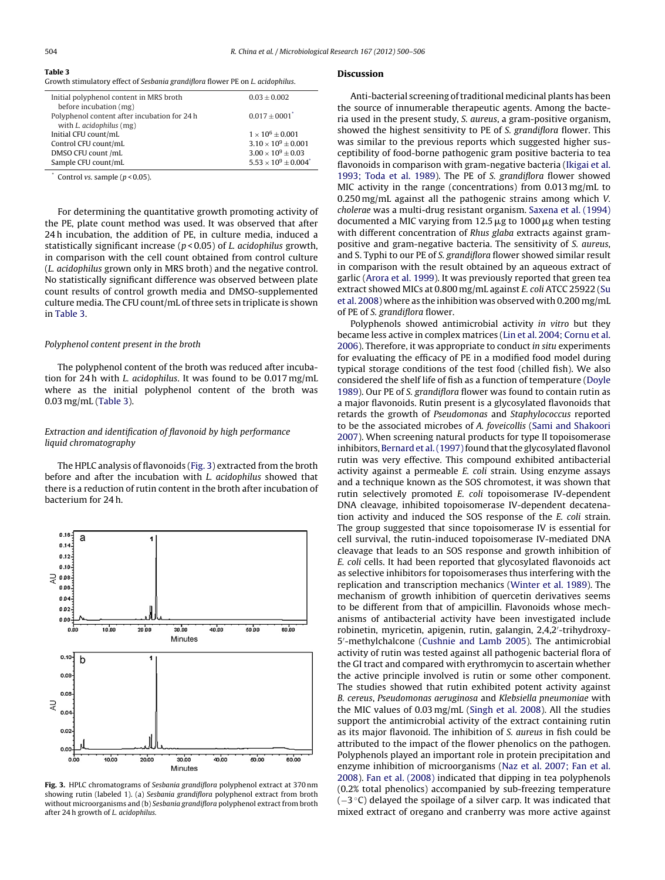<span id="page-4-0"></span>

| Table 3                                                                        |  |  |
|--------------------------------------------------------------------------------|--|--|
| Growth stimulatory effect of Sesbania grandiflora flower PE on L, acidonhilus. |  |  |

| $0.03 \pm 0.002$               |
|--------------------------------|
|                                |
| $0.017 \pm 0001$ <sup>*</sup>  |
|                                |
| $1 \times 10^6 \pm 0.001$      |
| $3.10 \times 10^9 \pm 0.001$   |
| $3.00 \times 10^9 \pm 0.03$    |
| $5.53 \times 10^9 \pm 0.004^*$ |
|                                |

Control vs. sample  $(n < 0.05)$ .

For determining the quantitative growth promoting activity of the PE, plate count method was used. It was observed that after 24 h incubation, the addition of PE, in culture media, induced a statistically significant increase ( $p$  < 0.05) of *L. acidophilus* growth, in comparison with the cell count obtained from control culture (L. acidophilus grown only in MRS broth) and the negative control. No statistically significant difference was observed between plate count results of control growth media and DMSO-supplemented culture media. The CFU count/mL of three sets in triplicate is shown in Table 3.

## Polyphenol content present in the broth

The polyphenol content of the broth was reduced after incubation for 24 h with L. acidophilus. It was found to be 0.017 mg/mL where as the initial polyphenol content of the broth was 0.03 mg/mL (Table 3).

# Extraction and identification of flavonoid by high performance liquid chromatography

The HPLC analysis of flavonoids (Fig. 3) extracted from the broth before and after the incubation with L. acidophilus showed that there is a reduction of rutin content in the broth after incubation of bacterium for 24 h.



**Fig. 3.** HPLC chromatograms of Sesbania grandiflora polyphenol extract at 370 nm showing rutin (labeled 1). (a) Sesbania grandiflora polyphenol extract from broth without microorganisms and (b) Sesbania grandiflora polyphenol extract from broth after 24 h growth of L. acidophilus.

#### **Discussion**

Anti-bacterial screening of traditional medicinal plants has been the source of innumerable therapeutic agents. Among the bacteria used in the present study, S. aureus, a gram-positive organism, showed the highest sensitivity to PE of S. grandiflora flower. This was similar to the previous reports which suggested higher susceptibility of food-borne pathogenic gram positive bacteria to tea flavonoids in comparison with gram-negative bacteria ([Ikigai](#page-5-0) et [al.](#page-5-0) [1993;](#page-5-0) [Toda](#page-5-0) et [al.](#page-5-0) [1989\).](#page-5-0) The PE of S. grandiflora flower showed MIC activity in the range (concentrations) from 0.013 mg/mL to 0.250 mg/mL against all the pathogenic strains among which V. cholerae was a multi-drug resistant organism. [Saxena](#page-5-0) et [al.](#page-5-0) [\(1994\)](#page-5-0) documented a MIC varying from 12.5  $\mu$ g to 1000  $\mu$ g when testing with different concentration of Rhus glaba extracts against grampositive and gram-negative bacteria. The sensitivity of S. aureus, and S. Typhi to our PE of S. grandiflora flower showed similar result in comparison with the result obtained by an aqueous extract of garlic [\(Arora](#page-5-0) et [al.](#page-5-0) [1999\).](#page-5-0) It was previously reported that green tea extract showed MICs at 0.800 mg/mL against E. coli ATCC 25922 [\(Su](#page-6-0) et [al.](#page-6-0) [2008\)](#page-6-0) where as the inhibition was observed with 0.200 mg/mL of PE of S. grandiflora flower.

Polyphenols showed antimicrobial activity in vitro but they became less active in complex matrices ([Lin](#page-5-0) et [al.](#page-5-0) [2004;](#page-5-0) [Cornu](#page-5-0) et [al.](#page-5-0) [2006\).](#page-5-0) Therefore, it was appropriate to conduct in situ experiments for evaluating the efficacy of PE in a modified food model during typical storage conditions of the test food (chilled fish). We also considered the shelf life of fish as a function of temperature ([Doyle](#page-5-0) [1989\).](#page-5-0) Our PE of S. grandiflora flower was found to contain rutin as a major flavonoids. Rutin present is a glycosylated flavonoids that retards the growth of Pseudomonas and Staphylococcus reported to be the associated microbes of A. foveicollis ([Sami](#page-5-0) [and](#page-5-0) [Shakoori](#page-5-0) [2007\).](#page-5-0) When screening natural products for type II topoisomerase inhibitors, [Bernard](#page-5-0) et al. (1997) found that the glycosylated flavonol rutin was very effective. This compound exhibited antibacterial activity against a permeable E. coli strain. Using enzyme assays and a technique known as the SOS chromotest, it was shown that rutin selectively promoted E. coli topoisomerase IV-dependent DNA cleavage, inhibited topoisomerase IV-dependent decatenation activity and induced the SOS response of the E. coli strain. The group suggested that since topoisomerase IV is essential for cell survival, the rutin-induced topoisomerase IV-mediated DNA cleavage that leads to an SOS response and growth inhibition of E. coli cells. It had been reported that glycosylated flavonoids act as selective inhibitors for topoisomerases thus interfering with the replication and transcription mechanics ([Winter](#page-6-0) et [al.](#page-6-0) [1989\).](#page-6-0) The mechanism of growth inhibition of quercetin derivatives seems to be different from that of ampicillin. Flavonoids whose mechanisms of antibacterial activity have been investigated include robinetin, myricetin, apigenin, rutin, galangin, 2,4,2 -trihydroxy-5 -methylchalcone [\(Cushnie](#page-5-0) [and](#page-5-0) [Lamb](#page-5-0) [2005\).](#page-5-0) The antimicrobial activity of rutin was tested against all pathogenic bacterial flora of the GI tract and compared with erythromycin to ascertain whether the active principle involved is rutin or some other component. The studies showed that rutin exhibited potent activity against B. cereus, Pseudomonas aeruginosa and Klebsiella pneumoniae with the MIC values of 0.03 mg/mL [\(Singh](#page-6-0) et [al.](#page-6-0) [2008\).](#page-6-0) All the studies support the antimicrobial activity of the extract containing rutin as its major flavonoid. The inhibition of S. aureus in fish could be attributed to the impact of the flower phenolics on the pathogen. Polyphenols played an important role in protein precipitation and enzyme inhibition of microorganisms ([Naz](#page-5-0) et [al.](#page-5-0) [2007;](#page-5-0) [Fan](#page-5-0) et [al.](#page-5-0) [2008\).](#page-5-0) [Fan](#page-5-0) et [al.](#page-5-0) [\(2008\)](#page-5-0) indicated that dipping in tea polyphenols (0.2% total phenolics) accompanied by sub-freezing temperature  $(-3 \degree C)$  delayed the spoilage of a silver carp. It was indicated that mixed extract of oregano and cranberry was more active against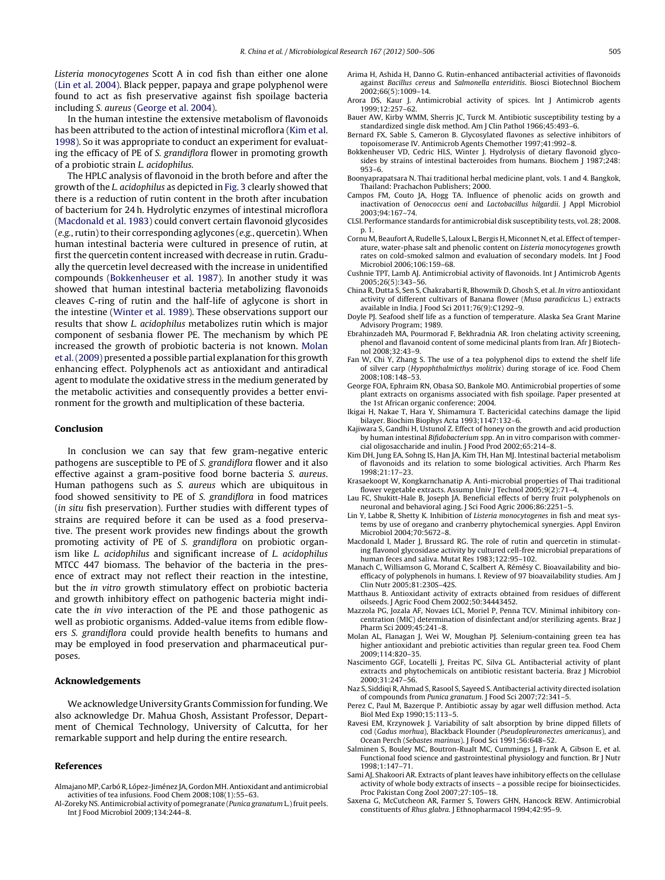<span id="page-5-0"></span>Listeria monocytogenes Scott A in cod fish than either one alone (Lin et al. 2004). Black pepper, papaya and grape polyphenol were found to act as fish preservative against fish spoilage bacteria including S. aureus (George et al. 2004).

In the human intestine the extensive metabolism of flavonoids has been attributed to the action of intestinal microflora (Kim et al. 1998). So it was appropriate to conduct an experiment for evaluating the efficacy of PE of S. grandiflora flower in promoting growth of a probiotic strain L. acidophilus.

The HPLC analysis of flavonoid in the broth before and after the growth of the L. acidophilus as depicted in [Fig.](#page-4-0) 3 clearly showed that there is a reduction of rutin content in the broth after incubation of bacterium for 24 h. Hydrolytic enzymes of intestinal microflora (Macdonald et al. 1983) could convert certain flavonoid glycosides  $(e.g.,$  rutin) to their corresponding aglycones  $(e.g.,$  quercetin). When human intestinal bacteria were cultured in presence of rutin, at first the quercetin content increased with decrease in rutin. Gradually the quercetin level decreased with the increase in unidentified compounds (Bokkenheuser et al. 1987). In another study it was showed that human intestinal bacteria metabolizing flavonoids cleaves C-ring of rutin and the half-life of aglycone is short in the intestine ([Winter](#page-6-0) et [al.](#page-6-0) [1989\).](#page-6-0) These observations support our results that show L. acidophilus metabolizes rutin which is major component of sesbania flower PE. The mechanism by which PE increased the growth of probiotic bacteria is not known. Molan et al.(2009) presented a possible partial explanation for this growth enhancing effect. Polyphenols act as antioxidant and antiradical agent to modulate the oxidative stress in the medium generated by the metabolic activities and consequently provides a better environment for the growth and multiplication of these bacteria.

## **Conclusion**

In conclusion we can say that few gram-negative enteric pathogens are susceptible to PE of S. grandiflora flower and it also effective against a gram-positive food borne bacteria S. aureus. Human pathogens such as S. aureus which are ubiquitous in food showed sensitivity to PE of S. grandiflora in food matrices (in situ fish preservation). Further studies with different types of strains are required before it can be used as a food preservative. The present work provides new findings about the growth promoting activity of PE of S. grandiflora on probiotic organism like L. acidophilus and significant increase of L. acidophilus MTCC 447 biomass. The behavior of the bacteria in the presence of extract may not reflect their reaction in the intestine, but the in vitro growth stimulatory effect on probiotic bacteria and growth inhibitory effect on pathogenic bacteria might indicate the in vivo interaction of the PE and those pathogenic as well as probiotic organisms. Added-value items from edible flowers S. grandiflora could provide health benefits to humans and may be employed in food preservation and pharmaceutical purposes.

## **Acknowledgements**

We acknowledge University Grants Commission for funding. We also acknowledge Dr. Mahua Ghosh, Assistant Professor, Department of Chemical Technology, University of Calcutta, for her remarkable support and help during the entire research.

#### **References**

- Almajano MP, Carbó R, López-Jiménez JA, Gordon MH.Antioxidant and antimicrobial activities of tea infusions. Food Chem 2008;108(1):55–63.
- Al-Zoreky NS. Antimicrobial activity of pomegranate (Punica granatum L.)fruit peels. Int J Food Microbiol 2009;134:244–8.
- Arima H, Ashida H, Danno G. Rutin-enhanced antibacterial activities of flavonoids against Bacillus cereus and Salmonella enteriditis. Biosci Biotechnol Biochem 2002;66(5):1009–14.
- Arora DS, Kaur J. Antimicrobial activity of spices. Int J Antimicrob agents 1999;12:257–62.
- Bauer AW, Kirby WMM, Sherris JC, Turck M. Antibiotic susceptibility testing by a standardized single disk method. Am J Clin Pathol 1966;45:493–6.
- Bernard FX, Sable S, Cameron B. Glycosylated flavones as selective inhibitors of topoisomerase IV. Antimicrob Agents Chemother 1997;41:992–8.
- Bokkenheuser VD, Cedric HLS, Winter J. Hydrolysis of dietary flavonoid glycosides by strains of intestinal bacteroides from humans. Biochem J 1987;248: 953–6.
- Boonyaprapatsara N. Thai traditional herbal medicine plant, vols. 1 and 4. Bangkok, Thailand: Prachachon Publishers; 2000.
- Campos FM, Couto JA, Hogg TA. Influence of phenolic acids on growth and inactivation of Oenococcus oeni and Lactobacillus hilgardii. J Appl Microbiol 2003;94:167–74.
- CLSI. Performance standards for antimicrobial disk susceptibility tests, vol. 28; 2008. p. 1.
- Cornu M, Beaufort A, Rudelle S, Laloux L, Bergis H, Miconnet N, et al. Effect of temperature, water-phase salt and phenolic content on Listeria monocytogenes growth rates on cold-smoked salmon and evaluation of secondary models. Int J Food Microbiol 2006;106:159–68.
- Cushnie TPT, Lamb AJ. Antimicrobial activity of flavonoids. Int J Antimicrob Agents  $2005:26(5):343-56$
- China R, Dutta S, Sen S, Chakrabarti R, Bhowmik D, Ghosh S, et al. In vitro antioxidant activity of different cultivars of Banana flower (Musa paradicicus L.) extracts available in India. J Food Sci 2011;76(9):C1292–9.
- Doyle PJ. Seafood shelf life as a function of temperature. Alaska Sea Grant Marine Advisory Program; 1989.
- Ebrahinzadeh MA, Pourmorad F, Bekhradnia AR. Iron chelating activity screening, phenol and flavanoid content of some medicinal plants from Iran. Afr J Biotechnol 2008;32:43–9.
- Fan W, Chi Y, Zhang S. The use of a tea polyphenol dips to extend the shelf life of silver carp (Hypophthalmicthys molitrix) during storage of ice. Food Chem 2008;108:148–53.
- George FOA, Ephraim RN, Obasa SO, Bankole MO. Antimicrobial properties of some plant extracts on organisms associated with fish spoilage. Paper presented at the 1st African organic conference; 2004.
- Ikigai H, Nakae T, Hara Y, Shimamura T. Bactericidal catechins damage the lipid bilayer. Biochim Biophys Acta 1993;1147:132–6.
- Kajiwara S, Gandhi H, Ustunol Z. Effect of honey on the growth and acid production by human intestinal Bifidobacterium spp. An in vitro comparison with commercial oligosaccharide and inulin. J Food Prod 2002;65:214–8.
- Kim DH, Jung EA, Sohng IS, Han JA, Kim TH, Han MJ. Intestinal bacterial metabolism of flavonoids and its relation to some biological activities. Arch Pharm Res 1998;21:17–23.
- Krasaekoopt W, Kongkarnchanatip A. Anti-microbial properties of Thai traditional flower vegetable extracts. Assump Univ J Technol 2005;9(2):71–4.
- Lau FC, Shukitt-Hale B, Joseph JA. Beneficial effects of berry fruit polyphenols on neuronal and behavioral aging. J Sci Food Agric 2006;86:2251–5.
- Lin Y, Labbe R, Shetty K. Inhibition of Listeria monocytogenes in fish and meat systems by use of oregano and cranberry phytochemical synergies. Appl Environ Microbiol 2004;70:5672–8.
- Macdonald I, Mader J, Brussard RG. The role of rutin and quercetin in stimulating flavonol glycosidase activity by cultured cell-free microbial preparations of human feces and saliva. Mutat Res 1983;122:95–102.
- Manach C, Williamson G, Morand C, Scalbert A, Rémésy C. Bioavailability and bioefficacy of polyphenols in humans. I. Review of 97 bioavailability studies. Am J Clin Nutr 2005;81:230S–42S.
- Matthaus B. Antioxidant activity of extracts obtained from residues of different oilseeds. J Agric Food Chem 2002;50:34443452.
- Mazzola PG, Jozala AF, Novaes LCL, Moriel P, Penna TCV. Minimal inhibitory concentration (MIC) determination of disinfectant and/or sterilizing agents. Braz J Pharm Sci 2009;45:241–8.
- Molan AL, Flanagan J, Wei W, Moughan PJ. Selenium-containing green tea has higher antioxidant and prebiotic activities than regular green tea. Food Chem 2009;114:820–35.
- Nascimento GGF, Locatelli J, Freitas PC, Silva GL. Antibacterial activity of plant extracts and phytochemicals on antibiotic resistant bacteria. Braz J Microbiol 2000;31:247–56.
- Naz S, Siddiqi R, Ahmad S, Rasool S, Sayeed S. Antibacterial activity directed isolation of compounds from Punica granatum. J Food Sci 2007;72:341–5.
- Perez C, Paul M, Bazerque P. Antibiotic assay by agar well diffusion method. Acta Biol Med Exp 1990;15:113–5.
- Ravesi EM, Krzynowek J. Variability of salt absorption by brine dipped fillets of cod (Gadus morhua), Blackback Flounder (Pseudopleuronectes americanus), and Ocean Perch (Sebastes marinus). J Food Sci 1991;56:648–52.
- Salminen S, Bouley MC, Boutron-Rualt MC, Cummings J, Frank A, Gibson E, et al. Functional food science and gastrointestinal physiology and function. Br J Nutr 1998;1:147–71.
- Sami AJ, Shakoori AR. Extracts of plant leaves have inhibitory effects on the cellulase activity of whole body extracts of insects – a possible recipe for bioinsecticides. Proc Pakistan Cong Zool 2007;27:105–18.
- Saxena G, McCutcheon AR, Farmer S, Towers GHN, Hancock REW. Antimicrobial constituents of Rhus glabra. J Ethnopharmacol 1994;42:95–9.